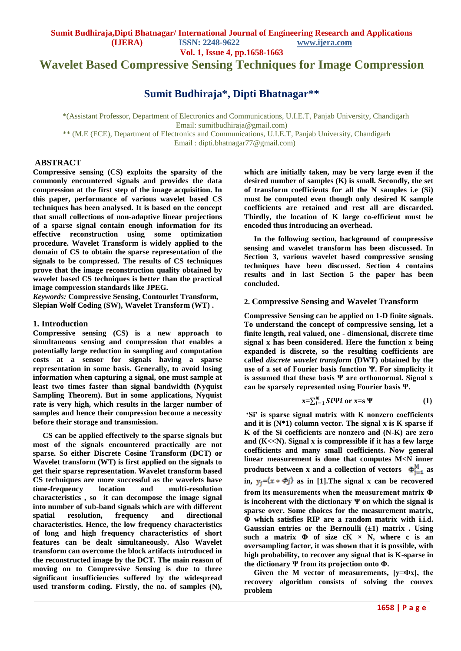**Vol. 1, Issue 4, pp.1658-1663**

**Wavelet Based Compressive Sensing Techniques for Image Compression**

# **Sumit Budhiraja\*, Dipti Bhatnagar\*\***

\*(Assistant Professor, Department of Electronics and Communications, U.I.E.T, Panjab University, Chandigarh Email: sumitbudhiraja@gmail.com) \*\* (M.E (ECE), Department of Electronics and Communications, U.I.E.T, Panjab University, Chandigarh Email : dipti.bhatnagar77@gmail.com)

### **ABSTRACT**

**Compressive sensing (CS) exploits the sparsity of the commonly encountered signals and provides the data compression at the first step of the image acquisition. In this paper, performance of various wavelet based CS techniques has been analysed. It is based on the concept that small collections of non-adaptive linear projections of a sparse signal contain enough information for its effective reconstruction using some optimization procedure. Wavelet Transform is widely applied to the domain of CS to obtain the sparse representation of the signals to be compressed. The results of CS techniques prove that the image reconstruction quality obtained by wavelet based CS techniques is better than the practical image compression standards like JPEG.**

*Keywords:* **Compressive Sensing, Contourlet Transform, Slepian Wolf Coding (SW), Wavelet Transform (WT) .**

#### **1. Introduction**

**Compressive sensing (CS) is a new approach to simultaneous sensing and compression that enables a potentially large reduction in sampling and computation costs at a sensor for signals having a sparse representation in some basis. Generally, to avoid losing information when capturing a signal, one must sample at least two times faster than signal bandwidth (Nyquist Sampling Theorem). But in some applications, Nyquist rate is very high, which results in the larger number of samples and hence their compression become a necessity before their storage and transmission.**

 **CS can be applied effectively to the sparse signals but most of the signals encountered practically are not sparse. So either Discrete Cosine Transform (DCT) or Wavelet transform (WT) is first applied on the signals to get their sparse representation. Wavelet transform based CS techniques are more successful as the wavelets have time-frequency location and multi-resolution characteristics , so it can decompose the image signal into number of sub-band signals which are with different spatial resolution, frequency and directional characteristics. Hence, the low frequency characteristics of long and high frequency characteristics of short features can be dealt simultaneously. Also Wavelet transform can overcome the block artifacts introduced in the reconstructed image by the DCT. The main reason of moving on to Compressive Sensing is due to three significant insufficiencies suffered by the widespread used transform coding. Firstly, the no. of samples (N),** 

**which are initially taken, may be very large even if the desired number of samples (K) is small. Secondly, the set of transform coefficients for all the N samples i.e (Si) must be computed even though only desired K sample coefficients are retained and rest all are discarded. Thirdly, the location of K large co-efficient must be encoded thus introducing an overhead.**

 **In the following section, background of compressive sensing and wavelet transform has been discussed. In Section 3, various wavelet based compressive sensing techniques have been discussed. Section 4 contains results and in last Section 5 the paper has been concluded.** 

## **2. Compressive Sensing and Wavelet Transform**

**Compressive Sensing can be applied on 1-D finite signals. To understand the concept of compressive sensing, let a finite length, real valued, one - dimensional, discrete time signal x has been considered. Here the function x being expanded is discrete, so the resulting coefficients are called** *discrete wavelet transform* **(DWT) obtained by the use of a set of Fourier basis function Ψ. For simplicity it is assumed that these basis Ψ are orthonormal. Signal x can be sparsely represented using Fourier basis Ψ.**

$$
x = \sum_{i=1}^{N} S_i \Psi i \text{ or } x = s \Psi \tag{1}
$$

**"Si" is sparse signal matrix with K nonzero coefficients and it is (N\*1) column vector. The signal x is K sparse if K of the Si coefficients are nonzero and (N-K) are zero and (K<<N). Signal x is compressible if it has a few large coefficients and many small coefficients. Now general linear measurement is done that computes M<N inner**  products between x and a collection of vectors  $\Phi_{j=1}^M$  as in,  $y_i = (x * \Phi j)$  as in [1]. The signal x can be recovered **from its measurements when the measurement matrix Ф is incoherent with the dictionary Ψ on which the signal is sparse over. Some choices for the measurement matrix, Φ which satisfies RIP are a random matrix with i.i.d. Gaussian entries or the Bernoulli (±1) matrix . Using such a matrix Φ of size cK × N, where c is an oversampling factor, it was shown that it is possible, with high probability, to recover any signal that is K-sparse in the dictionary Ψ from its projection onto Φ.**

 **Given the M vector of measurements, [y=Фx], the recovery algorithm consists of solving the convex problem**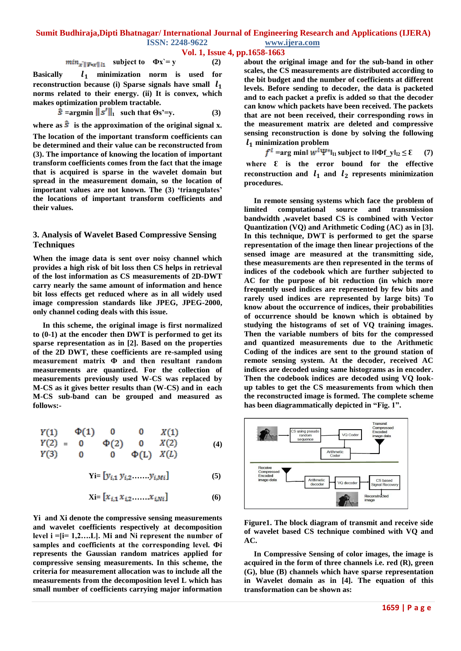#### **Vol. 1, Issue 4, pp.1658-1663**

$$
min_{x' \parallel \Psi \leftarrow x' \parallel 1_1} \quad \text{subject to} \quad \Phi x = y \tag{2}
$$

Basically  $l_1$  minimization norm is used for **reconstruction because (i) Sparse signals have small norms related to their energy. (ii) It is convex, which makes optimization problem tractable.** 

$$
\hat{\mathbf{s}} = \mathbf{argmin} \|\mathbf{s}'\|_1 \quad \text{such that } \Theta \mathbf{s}' = \mathbf{y}. \tag{3}
$$

where as  $\hat{\mathbf{s}}$  is the approximation of the original signal x.

**The location of the important transform coefficients can be determined and their value can be reconstructed from (3). The importance of knowing the location of important transform coefficients comes from the fact that the image that is acquired is sparse in the wavelet domain but spread in the measurement domain, so the location of important values are not known. The (3) "triangulates" the locations of important transform coefficients and their values.** 

## **3. Analysis of Wavelet Based Compressive Sensing Techniques**

**When the image data is sent over noisy channel which provides a high risk of bit loss then CS helps in retrieval of the lost information as CS measurements of 2D-DWT carry nearly the same amount of information and hence bit loss effects get reduced where as in all widely used image compression standards like JPEG, JPEG-2000, only channel coding deals with this issue.**

 **In this scheme, the original image is first normalized to (0-1) at the encoder then DWT is performed to get its sparse representation as in [2]. Based on the properties of the 2D DWT, these coefficients are re-sampled using measurement matrix Ф and then resultant random measurements are quantized. For the collection of measurements previously used W-CS was replaced by M-CS as it gives better results than (W-CS) and in each M-CS sub-band can be grouped and measured as follows:-** 

$$
Y(1) \t\Phi(1) \t0 \t0 \t X(1) Y(2) = 0 \t\Phi(2) \t0 \tX(2) Y(3) \t0 \t0 \t\Phi(L) X(L)
$$
 (4)

$$
Yi = [y_{i,1} \ y_{i,2} \dots \dots \ y_{i,Mi}] \tag{5}
$$

$$
Xi = [x_{i,1} \, x_{i,2} \, \dots \, x_{i,Ni}] \tag{6}
$$

**Yi and Xi denote the compressive sensing measurements and wavelet coefficients respectively at decomposition level i =[i= 1,2….L]. Mi and Ni represent the number of samples and coefficients at the corresponding level. Фi represents the Gaussian random matrices applied for compressive sensing measurements. In this scheme, the criteria for measurement allocation was to include all the measurements from the decomposition level L which has small number of coefficients carrying major information** 

**about the original image and for the sub-band in other scales, the CS measurements are distributed according to the bit budget and the number of coefficients at different levels. Before sending to decoder, the data is packeted and to each packet a prefix is added so that the decoder can know which packets have been received. The packets that are not been received, their corresponding rows in the measurement matrix are deleted and compressive sensing reconstruction is done by solving the following minimization problem**

 $f^l$  =arg min $\|w^l\Psi^*\|_{11}$  subject to  $\|\Phi\mathbf{f}\mathbf{y}\|_{12} \leq \epsilon$  (7) **where Ԑ is the error bound for the effective**  reconstruction and  $l_1$  and  $l_2$  represents minimization **procedures.**

 **In remote sensing systems which face the problem of limited computational source and transmission bandwidth ,wavelet based CS is combined with Vector Quantization (VQ) and Arithmetic Coding (AC) as in [3]. In this technique, DWT is performed to get the sparse representation of the image then linear projections of the sensed image are measured at the transmitting side, these measurements are then represented in the terms of indices of the codebook which are further subjected to AC for the purpose of bit reduction (in which more frequently used indices are represented by few bits and rarely used indices are represented by large bits) To know about the occurrence of indices, their probabilities of occurrence should be known which is obtained by studying the histograms of set of VQ training images. Then the variable numbers of bits for the compressed and quantized measurements due to the Arithmetic Coding of the indices are sent to the ground station of remote sensing system. At the decoder, received AC indices are decoded using same histograms as in encoder. Then the codebook indices are decoded using VQ lookup tables to get the CS measurements from which then the reconstructed image is formed. The complete scheme has been diagrammatically depicted in "Fig. 1".**



**Figure1. The block diagram of transmit and receive side of wavelet based CS technique combined with VQ and AC.**

 **In Compressive Sensing of color images, the image is acquired in the form of three channels i.e. red (R), green (G), blue (B) channels which have sparse representation in Wavelet domain as in [4]. The equation of this transformation can be shown as:**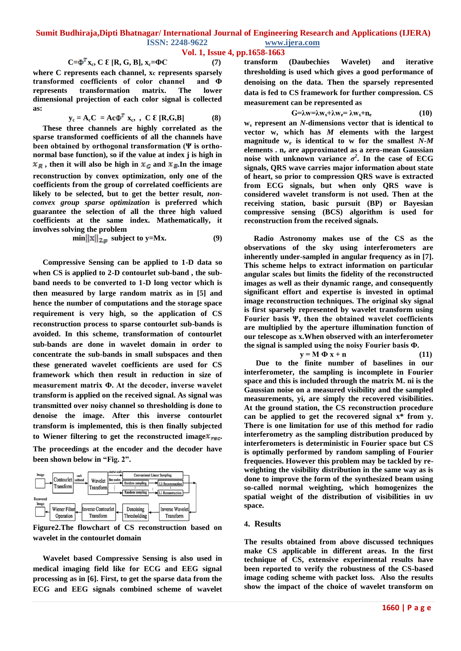## **Vol. 1, Issue 4, pp.1658-1663**

## $C = \Phi^T X_c$ ,  $C \& [R, G, B]$ ,  $X_c = \Phi C$  (7)

**where C represents each channel, xc represents sparsely transformed coefficients of color channel and Ф represents transformation matrix. The lower dimensional projection of each color signal is collected as:**

$$
y_c = A_c C = Ac\Phi^T x_c, \quad C \mathcal{E} [R, G, B]
$$
 (8)

 **These three channels are highly correlated as the sparse transformed coefficients of all the channels have been obtained by orthogonal transformation (Ψ is orthonormal base function), so if the value at index j is high in**   $x_R$ , then it will also be high in  $x_G$  and  $x_B$ . In the image **reconstruction by convex optimization, only one of the coefficients from the group of correlated coefficients are likely to be selected, but to get the better result,** *nonconvex group sparse optimization* **is preferred which guarantee the selection of all the three high valued coefficients at the same index. Mathematically, it involves solving the problem**

$$
\min \|x\|_{2,p} \text{ subject to } y=Mx. \tag{9}
$$

 **Compressive Sensing can be applied to 1-D data so when CS is applied to 2-D contourlet sub-band , the subband needs to be converted to 1-D long vector which is then measured by large random matrix as in [5] and hence the number of computations and the storage space requirement is very high, so the application of CS reconstruction process to sparse contourlet sub-bands is avoided. In this scheme, transformation of contourlet sub-bands are done in wavelet domain in order to concentrate the sub-bands in small subspaces and then these generated wavelet coefficients are used for CS framework which then result in reduction in size of measurement matrix Ф. At the decoder, inverse wavelet transform is applied on the received signal. As signal was transmitted over noisy channel so thresholding is done to denoise the image. After this inverse contourlet transform is implemented, this is then finally subjected**  to Wiener filtering to get the reconstructed image $\mathbf{x}_{\text{rec}}$ . **The proceedings at the encoder and the decoder have been shown below in "Fig. 2".**



**Figure2.The flowchart of CS reconstruction based on wavelet in the contourlet domain**

 **Wavelet based Compressive Sensing is also used in medical imaging field like for ECG and EEG signal processing as in [6]. First, to get the sparse data from the ECG and EEG signals combined scheme of wavelet**  **transform (Daubechies Wavelet) and iterative thresholding is used which gives a good performance of denoising on the data. Then the sparsely represented data is fed to CS framework for further compression. CS measurement can be represented as** 

$$
G=\lambda w = \lambda w_s + \lambda w_e = \lambda w_s + n_e \tag{10}
$$

**w***<sup>s</sup>* **represent an** *N***-dimensions vector that is identical to vector w, which has** *M* **elements with the largest magnitude w***<sup>e</sup>* **is identical to w for the smallest** *N***-***M*  **elements . n***<sup>e</sup>* **are approximated as a zero-mean Gaussian noise with unknown variance**  $\sigma^2$ **. In the case of ECG signals, QRS wave carries major information about state of heart, so prior to compression QRS wave is extracted from ECG signals, but when only QRS wave is considered wavelet transform is not used. Then at the receiving station, basic pursuit (BP) or Bayesian compressive sensing (BCS) algorithm is used for reconstruction from the received signals.**

 **Radio Astronomy makes use of the CS as the observations of the sky using interferometers are inherently under-sampled in angular frequency as in [7]. This scheme helps to extract information on particular angular scales but limits the fidelity of the reconstructed images as well as their dynamic range, and consequently significant effort and expertise is invested in optimal image reconstruction techniques. The original sky signal is first sparsely represented by wavelet transform using Fourier basis Ψ, then the obtained wavelet coefficients are multiplied by the aperture illumination function of our telescope as x.When observed with an interferometer the signal is sampled using the noisy Fourier basis Ф.**

$$
y = M \Phi x + n \tag{11}
$$

 **Due to the finite number of baselines in our interferometer, the sampling is incomplete in Fourier space and this is included through the matrix M. ni is the Gaussian noise on a measured visibility and the sampled measurements, yi, are simply the recovered visibilities. At the ground station, the CS reconstruction procedure can be applied to get the recovered signal x\* from y. There is one limitation for use of this method for radio interferometry as the sampling distribution produced by interferometers is deterministic in Fourier space but CS is optimally performed by random sampling of Fourier frequencies. However this problem may be tackled by reweighting the visibility distribution in the same way as is done to improve the form of the synthesized beam using so-called normal weighting, which homogenizes the spatial weight of the distribution of visibilities in uv space.**

#### **4. Results**

**The results obtained from above discussed techniques make CS applicable in different areas. In the first technique of CS, extensive experimental results have been reported to verify the robustness of the CS-based image coding scheme with packet loss. Also the results show the impact of the choice of wavelet transform on**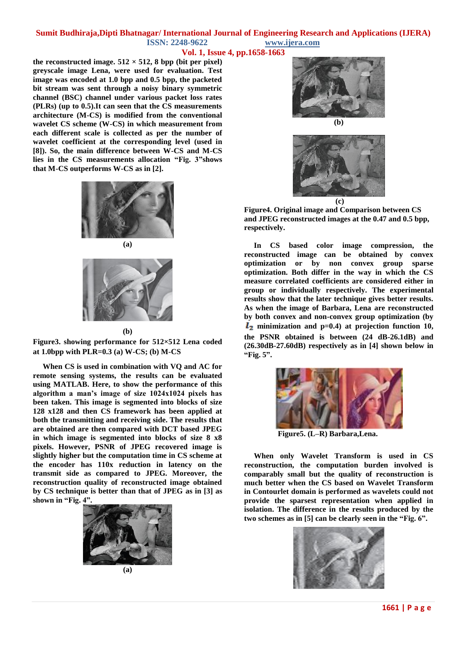## **Vol. 1, Issue 4, pp.1658-1663**

the reconstructed image.  $512 \times 512$ , 8 bpp (bit per pixel) **greyscale image Lena, were used for evaluation. Test image was encoded at 1.0 bpp and 0.5 bpp, the packeted bit stream was sent through a noisy binary symmetric channel (BSC) channel under various packet loss rates (PLRs) (up to 0.5).It can seen that the CS measurements architecture (M-CS) is modified from the conventional wavelet CS scheme (W-CS) in which measurement from each different scale is collected as per the number of wavelet coefficient at the corresponding level (used in [8]). So, the main difference between W-CS and M-CS lies in the CS measurements allocation "Fig. 3"shows that M-CS outperforms W-CS as in [2].**





#### **(b)**

**Figure3. showing performance for 512×512 Lena coded at 1.0bpp with PLR=0.3 (a) W-CS; (b) M-CS**

 **When CS is used in combination with VQ and AC for remote sensing systems, the results can be evaluated using MATLAB. Here, to show the performance of this algorithm a man"s image of size 1024x1024 pixels has been taken. This image is segmented into blocks of size 128 x128 and then CS framework has been applied at both the transmitting and receiving side. The results that are obtained are then compared with DCT based JPEG in which image is segmented into blocks of size 8 x8 pixels. However, PSNR of JPEG recovered image is slightly higher but the computation time in CS scheme at the encoder has 110x reduction in latency on the transmit side as compared to JPEG. Moreover, the reconstruction quality of reconstructed image obtained by CS technique is better than that of JPEG as in [3] as shown in "Fig. 4".**









**Figure4. Original image and Comparison between CS and JPEG reconstructed images at the 0.47 and 0.5 bpp, respectively.**

 **In CS based color image compression, the reconstructed image can be obtained by convex optimization or by non convex group sparse optimization. Both differ in the way in which the CS measure correlated coefficients are considered either in group or individually respectively. The experimental results show that the later technique gives better results. As when the image of Barbara, Lena are reconstructed by both convex and non-convex group optimization (by**   $l_2$  minimization and  $p=0.4$ ) at projection function 10, **the PSNR obtained is between (24 dB-26.1dB) and (26.30dB-27.60dB) respectively as in [4] shown below in "Fig. 5".**



 **Figure5. (L–R) Barbara,Lena.**

 **When only Wavelet Transform is used in CS reconstruction, the computation burden involved is comparably small but the quality of reconstruction is much better when the CS based on Wavelet Transform in Contourlet domain is performed as wavelets could not provide the sparsest representation when applied in isolation. The difference in the results produced by the two schemes as in [5] can be clearly seen in the "Fig. 6".**

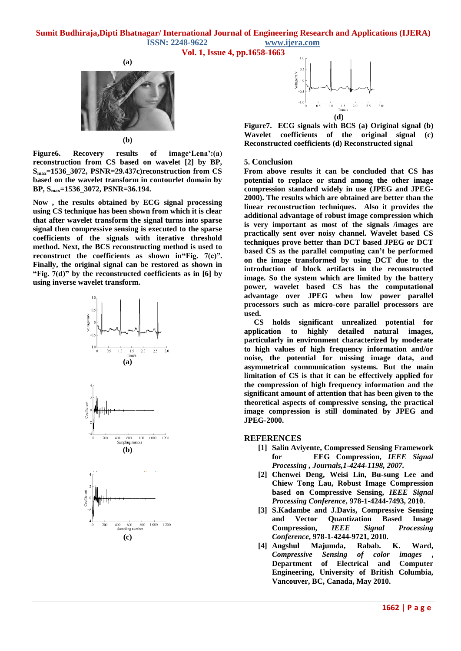**Vol. 1, Issue 4, pp.1658-1663**



**(b)**

**Figure6. Recovery results of image"Lena":(a) reconstruction from CS based on wavelet [2] by BP, Smax=1536\_3072, PSNR=29.437c)reconstruction from CS based on the wavelet transform in contourlet domain by BP, Smax=1536\_3072, PSNR=36.194.**

**Now , the results obtained by ECG signal processing using CS technique has been shown from which it is clear that after wavelet transform the signal turns into sparse signal then compressive sensing is executed to the sparse coefficients of the signals with iterative threshold method. Next, the BCS reconstructing method is used to reconstruct the coefficients as shown in"Fig. 7(c)". Finally, the original signal can be restored as shown in "Fig. 7(d)" by the reconstructed coefficients as in [6] by using inverse wavelet transform.**





**Figure7. ECG signals with BCS (a) Original signal (b) Wavelet coefficients of the original signal (c) Reconstructed coefficients (d) Reconstructed signal**

#### **5. Conclusion**

**From above results it can be concluded that CS has potential to replace or stand among the other image compression standard widely in use (JPEG and JPEG-2000). The results which are obtained are better than the linear reconstruction techniques. Also it provides the additional advantage of robust image compression which is very important as most of the signals /images are practically sent over noisy channel. Wavelet based CS techniques prove better than DCT based JPEG or DCT based CS as the parallel computing can"t be performed on the image transformed by using DCT due to the introduction of block artifacts in the reconstructed image. So the system which are limited by the battery power, wavelet based CS has the computational advantage over JPEG when low power parallel processors such as micro-core parallel processors are used.** 

 **CS holds significant unrealized potential for application to highly detailed natural images, particularly in environment characterized by moderate to high values of high frequency information and/or noise, the potential for missing image data, and asymmetrical communication systems. But the main limitation of CS is that it can be effectively applied for the compression of high frequency information and the significant amount of attention that has been given to the theoretical aspects of compressive sensing, the practical image compression is still dominated by JPEG and JPEG-2000.**

### **REFERENCES**

- **[1] Salin Aviyente, Compressed Sensing Framework for EEG Compression,** *IEEE Signal Processing , Journals,1-4244-1198, 2007.*
- **[2] Chenwei Deng, Weisi Lin, Bu-sung Lee and Chiew Tong Lau, Robust Image Compression based on Compressive Sensing,** *IEEE Signal Processing Conference***, 978-1-4244-7493, 2010.**
- **[3] S.Kadambe and J.Davis, Compressive Sensing and Vector Quantization Based Image Compression,** *IEEE Signal Processing Conference***, 978-1-4244-9721, 2010.**
- **[4] Angshul Majumda, Rabab. K. Ward,**  *Compressive Sensing of color images* **, Department of Electrical and Computer Engineering, University of British Columbia, Vancouver, BC, Canada, May 2010.**